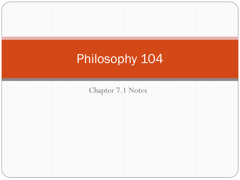# Philosophy 104

Chapter 7.1 Notes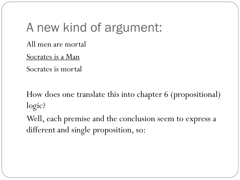# A new kind of argument:

All men are mortal

Socrates is a Man

Socrates is mortal

How does one translate this into chapter 6 (propositional) logic?

Well, each premise and the conclusion seem to express a different and single proposition, so: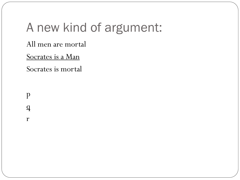# A new kind of argument:

All men are mortal

Socrates is a Man

Socrates is mortal

p  $\overline{q}$ 

r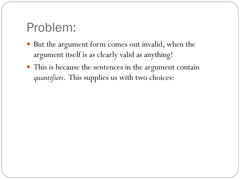## Problem:

- But the argument form comes out invalid, when the argument itself is as clearly valid as anything!
- This is because the sentences in the argument contain *quantifiers*. This supplies us with two choices: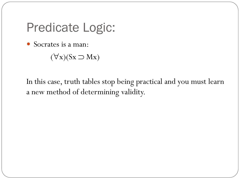#### Predicate Logic:

Socrates is a man:

 $(\forall x)(Sx \supset Mx)$ 

In this case, truth tables stop being practical and you must learn a new method of determining validity.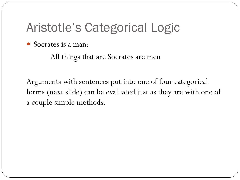## Aristotle's Categorical Logic

Socrates is a man:

All things that are Socrates are men

Arguments with sentences put into one of four categorical forms (next slide) can be evaluated just as they are with one of a couple simple methods.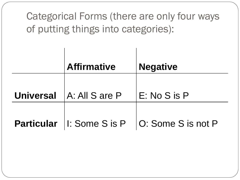| Categorical Forms (there are only four ways<br>of putting things into categories): |                             |                    |
|------------------------------------------------------------------------------------|-----------------------------|--------------------|
|                                                                                    | <b>Affirmative</b>          | <b>Negative</b>    |
| <b>Universal</b>                                                                   | A: All S are P              | E: No S is P       |
|                                                                                    | Particular   I: Some S is P | O: Some S is not P |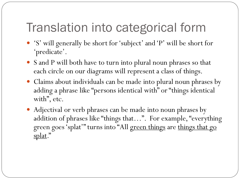## Translation into categorical form

- 'S' will generally be short for 'subject' and 'P' will be short for 'predicate'.
- S and P will both have to turn into plural noun phrases so that each circle on our diagrams will represent a class of things.
- Claims about individuals can be made into plural noun phrases by adding a phrase like "persons identical with" or "things identical with", etc.
- Adjectival or verb phrases can be made into noun phrases by addition of phrases like "things that…". For example, "everything green goes 'splat'" turns into "All green things are things that go splat."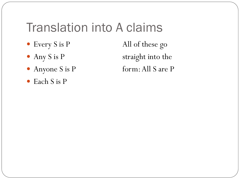#### Translation into A claims

- 
- 
- 
- Each S is P

• Every S is P All of these go • Any S is P straight into the • Anyone S is P form: All S are P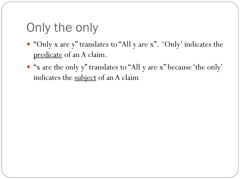# Only the only

- "Only x are y" translates to "All y are x". 'Only' indicates the predicate of an A claim.
- "x are the only y" translates to "All y are x" because 'the only' indicates the subject of an A claim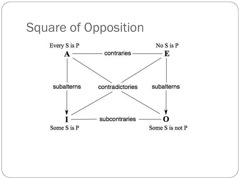#### Square of Opposition

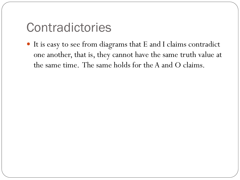#### Contradictories

 It is easy to see from diagrams that E and I claims contradict one another, that is, they cannot have the same truth value at the same time. The same holds for the A and O claims.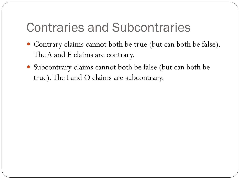### Contraries and Subcontraries

- Contrary claims cannot both be true (but can both be false). The A and E claims are contrary.
- Subcontrary claims cannot both be false (but can both be true). The I and O claims are subcontrary.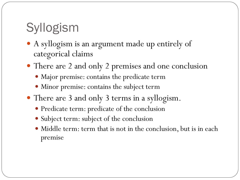# Syllogism

- A syllogism is an argument made up entirely of categorical claims
- There are 2 and only 2 premises and one conclusion
	- Major premise: contains the predicate term
	- Minor premise: contains the subject term
- There are 3 and only 3 terms in a syllogism.
	- Predicate term: predicate of the conclusion
	- Subject term: subject of the conclusion
	- Middle term: term that is not in the conclusion, but is in each premise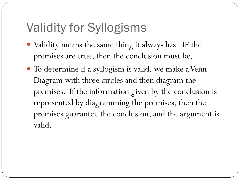# Validity for Syllogisms

- Validity means the same thing it always has. IF the premises are true, then the conclusion must be.
- To determine if a syllogism is valid, we make a Venn Diagram with three circles and then diagram the premises. If the information given by the conclusion is represented by diagramming the premises, then the premises guarantee the conclusion, and the argument is valid.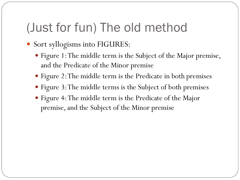#### (Just for fun) The old method

- Sort syllogisms into FIGURES:
	- Figure 1: The middle term is the Subject of the Major premise, and the Predicate of the Minor premise
	- Figure 2: The middle term is the Predicate in both premises
	- Figure 3: The middle terms is the Subject of both premises
	- Figure 4: The middle term is the Predicate of the Major premise, and the Subject of the Minor premise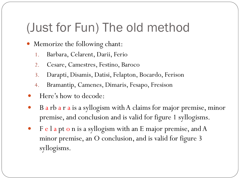## (Just for Fun) The old method

- Memorize the following chant:
	- 1. Barbara, Celarent, Darii, Ferio
	- 2. Cesare, Camestres, Festino, Baroco
	- 3. Darapti, Disamis, Datisi, Felapton, Bocardo, Ferison
	- 4. Bramantip, Camenes, Dimaris, Fesapo, Fresison
- Here's how to decode:
- B a rb a r a is a syllogism with A claims for major premise, minor premise, and conclusion and is valid for figure 1 syllogisms.
- F e l a pt o n is a syllogism with an E major premise, and A minor premise, an O conclusion, and is valid for figure 3 syllogisms.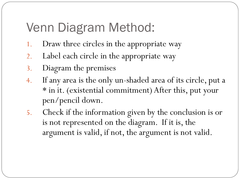## Venn Diagram Method:

- 1. Draw three circles in the appropriate way
- 2. Label each circle in the appropriate way
- 3. Diagram the premises
- 4. If any area is the only un-shaded area of its circle, put a \* in it. (existential commitment) After this, put your pen/pencil down.
- 5. Check if the information given by the conclusion is or is not represented on the diagram. If it is, the argument is valid, if not, the argument is not valid.